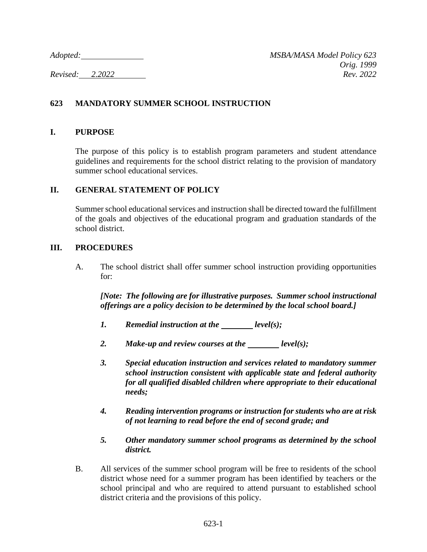## **623 MANDATORY SUMMER SCHOOL INSTRUCTION**

### **I. PURPOSE**

The purpose of this policy is to establish program parameters and student attendance guidelines and requirements for the school district relating to the provision of mandatory summer school educational services.

### **II. GENERAL STATEMENT OF POLICY**

Summer school educational services and instruction shall be directed toward the fulfillment of the goals and objectives of the educational program and graduation standards of the school district.

### **III. PROCEDURES**

A. The school district shall offer summer school instruction providing opportunities for:

*[Note: The following are for illustrative purposes. Summer school instructional offerings are a policy decision to be determined by the local school board.]*

- *1. Remedial instruction at the level(s);*
- 2. Make-up and review courses at the <u>level(s)</u>;
- *3. Special education instruction and services related to mandatory summer school instruction consistent with applicable state and federal authority for all qualified disabled children where appropriate to their educational needs;*
- *4. Reading intervention programs or instruction for students who are at risk of not learning to read before the end of second grade; and*
- *5. Other mandatory summer school programs as determined by the school district.*
- B. All services of the summer school program will be free to residents of the school district whose need for a summer program has been identified by teachers or the school principal and who are required to attend pursuant to established school district criteria and the provisions of this policy.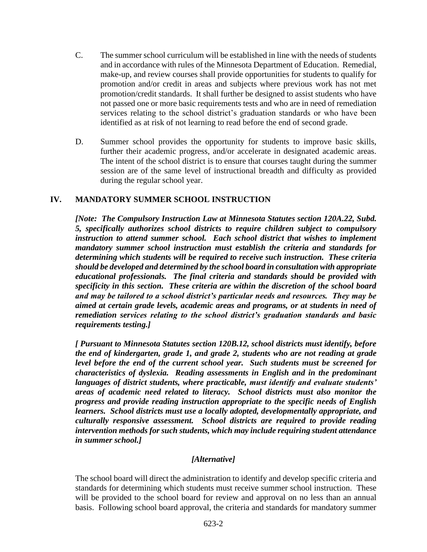- C. The summer school curriculum will be established in line with the needs of students and in accordance with rules of the Minnesota Department of Education. Remedial, make-up, and review courses shall provide opportunities for students to qualify for promotion and/or credit in areas and subjects where previous work has not met promotion/credit standards. It shall further be designed to assist students who have not passed one or more basic requirements tests and who are in need of remediation services relating to the school district's graduation standards or who have been identified as at risk of not learning to read before the end of second grade.
- D. Summer school provides the opportunity for students to improve basic skills, further their academic progress, and/or accelerate in designated academic areas. The intent of the school district is to ensure that courses taught during the summer session are of the same level of instructional breadth and difficulty as provided during the regular school year.

## **IV. MANDATORY SUMMER SCHOOL INSTRUCTION**

*[Note: The Compulsory Instruction Law at Minnesota Statutes section 120A.22, Subd. 5, specifically authorizes school districts to require children subject to compulsory instruction to attend summer school. Each school district that wishes to implement mandatory summer school instruction must establish the criteria and standards for determining which students will be required to receive such instruction. These criteria should be developed and determined by the school board in consultation with appropriate educational professionals. The final criteria and standards should be provided with specificity in this section. These criteria are within the discretion of the school board and may be tailored to a school district's particular needs and resources. They may be aimed at certain grade levels, academic areas and programs, or at students in need of remediation services relating to the school district's graduation standards and basic requirements testing.]*

*[ Pursuant to Minnesota Statutes section 120B.12, school districts must identify, before the end of kindergarten, grade 1, and grade 2, students who are not reading at grade level before the end of the current school year. Such students must be screened for characteristics of dyslexia. Reading assessments in English and in the predominant languages of district students, where practicable, must identify and evaluate students' areas of academic need related to literacy. School districts must also monitor the progress and provide reading instruction appropriate to the specific needs of English learners. School districts must use a locally adopted, developmentally appropriate, and culturally responsive assessment. School districts are required to provide reading intervention methods for such students, which may include requiring student attendance in summer school.]*

#### *[Alternative]*

The school board will direct the administration to identify and develop specific criteria and standards for determining which students must receive summer school instruction. These will be provided to the school board for review and approval on no less than an annual basis. Following school board approval, the criteria and standards for mandatory summer